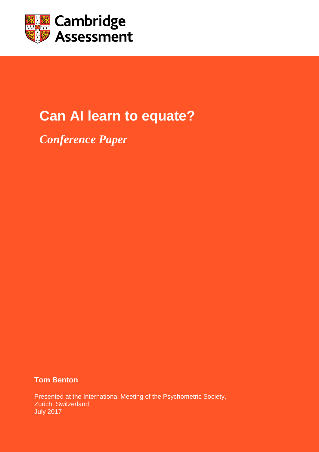

# **Can AI learn to equate?**

*Conference Paper*

**Tom Benton**

Presented at the International Meeting of the Psychometric Society, Zurich, Switzerland, July 2017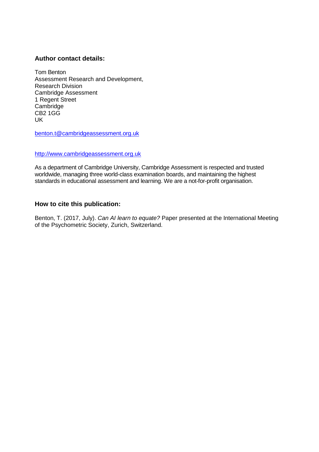## **Author contact details:**

Tom Benton Assessment Research and Development, Research Division Cambridge Assessment 1 Regent Street Cambridge CB2 1GG UK

[benton.t@cambridgeassessment.org.uk](mailto:benton.t@cambridgeassessment.org.uk) 

#### [http://www.cambridgeassessment.org.uk](http://www.cambridgeassessment.org.uk/)

As a department of Cambridge University, Cambridge Assessment is respected and trusted worldwide, managing three world-class examination boards, and maintaining the highest standards in educational assessment and learning. We are a not-for-profit organisation.

## **How to cite this publication:**

Benton, T. (2017, July). *Can AI learn to equate?* Paper presented at the International Meeting of the Psychometric Society, Zurich, Switzerland.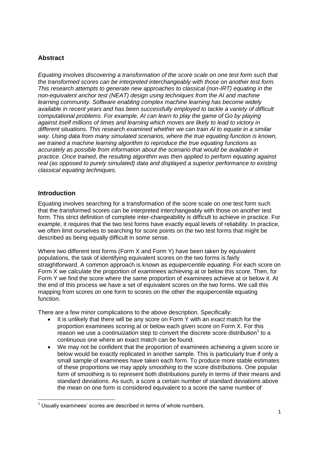# **Abstract**

*Equating involves discovering a transformation of the score scale on one test form such that the transformed scores can be interpreted interchangeably with those on another test form. This research attempts to generate new approaches to classical (non-IRT) equating in the non-equivalent anchor test (NEAT) design using techniques from the AI and machine learning community. Software enabling complex machine learning has become widely available in recent years and has been successfully employed to tackle a variety of difficult computational problems. For example, AI can learn to play the game of Go by playing against itself millions of times and learning which moves are likely to lead to victory in different situations. This research examined whether we can train AI to equate in a similar way. Using data from many simulated scenarios, where the true equating function is known, we trained a machine learning algorithm to reproduce the true equating functions as accurately as possible from information about the scenario that would be available in practice. Once trained, the resulting algorithm was then applied to perform equating against real (as opposed to purely simulated) data and displayed a superior performance to existing classical equating techniques.* 

## **Introduction**

Equating involves searching for a transformation of the score scale on one test form such that the transformed scores can be interpreted interchangeably with those on another test form. This strict definition of complete inter-changeability is difficult to achieve in practice. For example, it requires that the two test forms have exactly equal levels of reliability. In practice, we often limit ourselves to searching for score points on the two test forms that might be described as being equally difficult in some sense.

Where two different test forms (Form X and Form Y) have been taken by equivalent populations, the task of identifying equivalent scores on the two forms is fairly straightforward. A common approach is known as *equipercentile equating*. For each score on Form X we calculate the proportion of examinees achieving at or below this score. Then, for Form Y we find the score where the same proportion of examinees achieve at or below it. At the end of this process we have a set of equivalent scores on the two forms. We call this mapping from scores on one form to scores on the other the equipercentile equating function.

There are a few minor complications to the above description. Specifically:

- It is unlikely that there will be any score on Form Y with an *exact* match for the proportion examinees scoring at or below each given score on Form X. For this reason we use a *continuization* step to convert the discrete score distribution<sup>1</sup> to a continuous one where an exact match can be found.
- We may not be confident that the proportion of examinees achieving a given score or below would be exactly replicated in another sample. This is particularly true if only a small sample of examinees have taken each form. To produce more stable estimates of these proportions we may apply *smoothing* to the score distributions. One popular form of smoothing is to represent both distributions purely in terms of their means and standard deviations. As such, a score a certain number of standard deviations above the mean on one form is considered equivalent to a score the same number of

 $\overline{\phantom{a}}$  $1$  Usually examinees' scores are described in terms of whole numbers.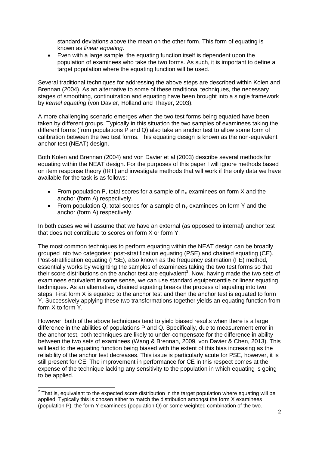standard deviations above the mean on the other form. This form of equating is known as *linear equating*.

 Even with a large sample, the equating function itself is dependent upon the population of examinees who take the two forms. As such, it is important to define a target population where the equating function will be used.

Several traditional techniques for addressing the above steps are described within Kolen and Brennan (2004). As an alternative to some of these traditional techniques, the necessary stages of smoothing, continuization and equating have been brought into a single framework by *kernel equating* (von Davier, Holland and Thayer, 2003).

A more challenging scenario emerges when the two test forms being equated have been taken by different groups. Typically in this situation the two samples of examinees taking the different forms (from populations P and Q) also take an anchor test to allow some form of calibration between the two test forms. This equating design is known as the non-equivalent anchor test (NEAT) design.

Both Kolen and Brennan (2004) and von Davier et al (2003) describe several methods for equating within the NEAT design. For the purposes of this paper I will ignore methods based on item response theory (IRT) and investigate methods that will work if the only data we have available for the task is as follows:

- From population P, total scores for a sample of  $n_x$  examinees on form X and the anchor (form A) respectively.
- From population Q, total scores for a sample of  $n<sub>Y</sub>$  examinees on form Y and the anchor (form A) respectively.

In both cases we will assume that we have an external (as opposed to internal) anchor test that does not contribute to scores on form X or form Y.

The most common techniques to perform equating within the NEAT design can be broadly grouped into two categories: post-stratification equating (PSE) and chained equating (CE). Post-stratification equating (PSE), also known as the frequency estimation (FE) method, essentially works by weighting the samples of examinees taking the two test forms so that their score distributions on the anchor test are equivalent<sup>2</sup>. Now, having made the two sets of examinees equivalent in some sense, we can use standard equipercentile or linear equating techniques. As an alternative, chained equating breaks the process of equating into two steps. First form X is equated to the anchor test and then the anchor test is equated to form Y. Successively applying these two transformations together yields an equating function from form X to form Y.

However, both of the above techniques tend to yield biased results when there is a large difference in the abilities of populations P and Q. Specifically, due to measurement error in the anchor test, both techniques are likely to under-compensate for the difference in ability between the two sets of examinees (Wang & Brennan, 2009, von Davier & Chen, 2013). This will lead to the equating function being biased with the extent of this bias increasing as the reliability of the anchor test decreases. This issue is particularly acute for PSE, however, it is still present for CE. The improvement in performance for CE in this respect comes at the expense of the technique lacking any sensitivity to the population in which equating is going to be applied.

 $\frac{2}{\pi}$ That is, equivalent to the expected score distribution in the target population where equating will be applied. Typically this is chosen either to match the distribution amongst the form X examinees (population P), the form Y examinees (population Q) or some weighted combination of the two.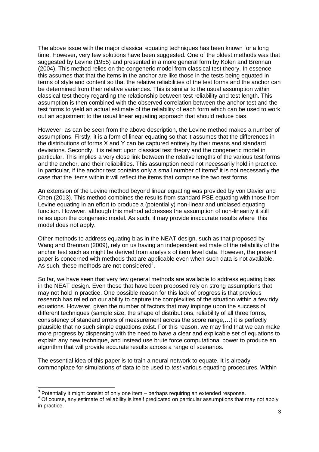The above issue with the major classical equating techniques has been known for a long time. However, very few solutions have been suggested. One of the oldest methods was that suggested by Levine (1955) and presented in a more general form by Kolen and Brennan (2004). This method relies on the congeneric model from classical test theory. In essence this assumes that that the items in the anchor are like those in the tests being equated in terms of style and content so that the relative reliabilities of the test forms and the anchor can be determined from their relative variances. This is similar to the usual assumption within classical test theory regarding the relationship between test reliability and test length. This assumption is then combined with the observed correlation between the anchor test and the test forms to yield an actual estimate of the reliability of each form which can be used to work out an adjustment to the usual linear equating approach that should reduce bias.

However, as can be seen from the above description, the Levine method makes a number of assumptions. Firstly, it is a form of linear equating so that it assumes that the differences in the distributions of forms X and Y can be captured entirely by their means and standard deviations. Secondly, it is reliant upon classical test theory and the congeneric model in particular. This implies a very close link between the relative lengths of the various test forms and the anchor, and their reliabilities. This assumption need not necessarily hold in practice. In particular, if the anchor test contains only a small number of items<sup>3</sup> it is not necessarily the case that the items within it will reflect the items that comprise the two test forms.

An extension of the Levine method beyond linear equating was provided by von Davier and Chen (2013). This method combines the results from standard PSE equating with those from Levine equating in an effort to produce a (potentially) non-linear and unbiased equating function. However, although this method addresses the assumption of non-linearity it still relies upon the congeneric model. As such, it may provide inaccurate results where this model does not apply.

Other methods to address equating bias in the NEAT design, such as that proposed by Wang and Brennan (2009), rely on us having an independent estimate of the reliability of the anchor test such as might be derived from analysis of item level data. However, the present paper is concerned with methods that are applicable even when such data is not available. As such, these methods are not considered $4$ .

So far, we have seen that very few general methods are available to address equating bias in the NEAT design. Even those that have been proposed rely on strong assumptions that may not hold in practice. One possible reason for this lack of progress is that previous research has relied on our ability to capture the complexities of the situation within a few tidy equations. However, given the number of factors that may impinge upon the success of different techniques (sample size, the shape of distributions, reliability of all three forms, consistency of standard errors of measurement across the score range,…) it is perfectly plausible that no such simple equations exist. For this reason, we may find that we can make more progress by dispensing with the need to have a clear and explicable set of equations to explain any new technique, and instead use brute force computational power to produce an algorithm that will provide accurate results across a range of scenarios.

The essential idea of this paper is to train a neural network to equate. It is already commonplace for simulations of data to be used to *test* various equating procedures. Within

 3 Potentially it might consist of only one item – perhaps requiring an extended response.

<sup>&</sup>lt;sup>4</sup> Of course, any estimate of reliability is itself predicated on particular assumptions that may not apply in practice.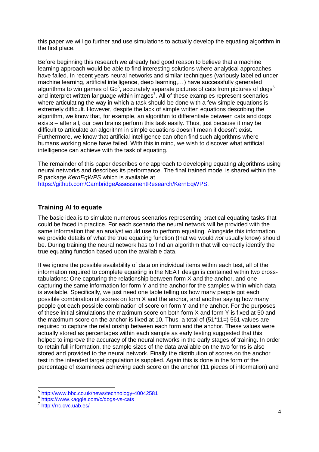this paper we will go further and use simulations to actually develop the equating algorithm in the first place.

Before beginning this research we already had good reason to believe that a machine learning approach would be able to find interesting solutions where analytical approaches have failed. In recent years neural networks and similar techniques (variously labelled under machine learning, artificial intelligence, deep learning,…) have successfully generated algorithms to win games of Go $^5$ , accurately separate pictures of cats from pictures of dogs $^6$ and interpret written language within images<sup>7</sup>. All of these examples represent scenarios where articulating the way in which a task should be done with a few simple equations is extremely difficult. However, despite the lack of simple written equations describing the algorithm, we know that, for example, an algorithm to differentiate between cats and dogs exists – after all, our own brains perform this task easily. Thus, just because it may be difficult to articulate an algorithm in simple equations doesn't mean it doesn't exist. Furthermore, we know that artificial intelligence can often find such algorithms where humans working alone have failed. With this in mind, we wish to discover what artificial intelligence can achieve with the task of equating.

The remainder of this paper describes one approach to developing equating algorithms using neural networks and describes its performance. The final trained model is shared within the R package *KernEqWPS* which is available at

[https://github.com/CambridgeAssessmentResearch/KernEqWPS.](https://github.com/CambridgeAssessmentResearch/KernEqWPS)

# **Training AI to equate**

The basic idea is to simulate numerous scenarios representing practical equating tasks that could be faced in practice. For each scenario the neural network will be provided with the same information that an analyst would use to perform equating. Alongside this information, we provide details of what the true equating function (that we would *not* usually know) should be. During training the neural network has to find an algorithm that will correctly identify the true equating function based upon the available data.

If we ignore the possible availability of data on individual items within each test, all of the information required to complete equating in the NEAT design is contained within two crosstabulations: One capturing the relationship between form X and the anchor, and one capturing the same information for form Y and the anchor for the samples within which data is available. Specifically, we just need one table telling us how many people got each possible combination of scores on form X and the anchor, and another saying how many people got each possible combination of score on form Y and the anchor. For the purposes of these initial simulations the maximum score on both form X and form Y is fixed at 50 and the maximum score on the anchor is fixed at 10. Thus, a total of (51\*11=) 561 values are required to capture the relationship between each form and the anchor. These values were actually stored as percentages within each sample as early testing suggested that this helped to improve the accuracy of the neural networks in the early stages of training. In order to retain full information, the sample sizes of the data available on the two forms is also stored and provided to the neural network. Finally the distribution of scores on the anchor test in the intended target population is supplied. Again this is done in the form of the percentage of examinees achieving each score on the anchor (11 pieces of information) and

<sup>&</sup>lt;sub>5</sub><br>http://www.bbc.co.uk/news/technology-40042581

<sup>6</sup> <https://www.kaggle.com/c/dogs-vs-cats>

<sup>7</sup> http://rrc.cvc.uab.es/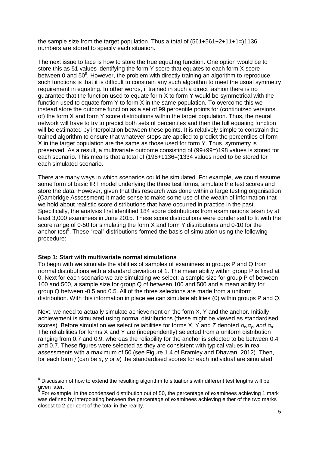the sample size from the target population. Thus a total of  $(561+561+2+11+1=)1136$ numbers are stored to specify each situation.

The next issue to face is how to store the true equating function. One option would be to store this as 51 values identifying the form Y score that equates to each form X score between 0 and 50 $^8$ . However, the problem with directly training an algorithm to reproduce such functions is that it is difficult to constrain any such algorithm to meet the usual symmetry requirement in equating. In other words, if trained in such a direct fashion there is no guarantee that the function used to equate form X to form Y would be symmetrical with the function used to equate form Y to form X in the same population. To overcome this we instead store the outcome function as a set of 99 percentile points for (continuized versions of) the form X and form Y score distributions within the target population. Thus, the neural network will have to try to predict both sets of percentiles and then the full equating function will be estimated by interpolation between these points. It is relatively simple to constrain the trained algorithm to ensure that whatever steps are applied to predict the percentiles of form X in the target population are the same as those used for form Y. Thus, symmetry is preserved. As a result, a multivariate outcome consisting of (99+99=)198 values is stored for each scenario. This means that a total of (198+1136=)1334 values need to be stored for each simulated scenario.

There are many ways in which scenarios could be simulated. For example, we could assume some form of basic IRT model underlying the three test forms, simulate the test scores and store the data. However, given that this research was done within a large testing organisation (Cambridge Assessment) it made sense to make some use of the wealth of information that we hold about realistic score distributions that have occurred in practice in the past. Specifically, the analysis first identified 184 score distributions from examinations taken by at least 3,000 examinees in June 2015. These score distributions were condensed to fit with the score range of 0-50 for simulating the form X and form Y distributions and 0-10 for the anchor test<sup>9</sup>. These "real" distributions formed the basis of simulation using the following procedure:

#### **Step 1: Start with multivariate normal simulations**

To begin with we simulate the abilities of samples of examinees in groups P and Q from normal distributions with a standard deviation of 1. The mean ability within group P is fixed at 0. Next for each scenario we are simulating we select: a sample size for group P of between 100 and 500, a sample size for group Q of between 100 and 500 and a mean ability for group Q between -0.5 and 0.5. All of the three selections are made from a uniform distribution. With this information in place we can simulate abilities (θ) within groups P and Q.

Next, we need to actually simulate achievement on the form X, Y and the anchor. Initially achievement is simulated using normal distributions (these might be viewed as standardised scores). Before simulation we select reliabilities for forms X, Y and Z denoted *αx,αy, and αa*. The reliabilities for forms X and Y are (independently) selected from a uniform distribution ranging from 0.7 and 0.9, whereas the reliability for the anchor is selected to be between 0.4 and 0.7. These figures were selected as they are consistent with typical values in real assessments with a maximum of 50 (see Figure 1.4 of Bramley and Dhawan, 2012). Then, for each form *j* (can be *x*, *y* or *a*) the standardised scores for each individual are simulated

 8 Discussion of how to extend the resulting algorithm to situations with different test lengths will be given later.

<sup>9</sup> For example, in the condensed distribution out of 50, the percentage of examinees achieving 1 mark was defined by interpolating between the percentage of examinees achieving either of the two marks closest to 2 per cent of the total in the reality.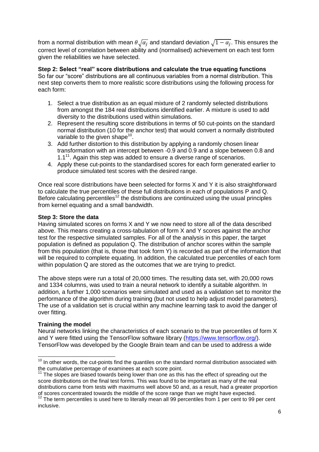from a normal distribution with mean  $\theta\sqrt{\alpha_j}$  and standard deviation  $\sqrt{1-\alpha_j}.$  This ensures the correct level of correlation between ability and (normalised) achievement on each test form given the reliabilities we have selected.

**Step 2: Select "real" score distributions and calculate the true equating functions**  So far our "score" distributions are all continuous variables from a normal distribution. This next step converts them to more realistic score distributions using the following process for each form:

- 1. Select a true distribution as an equal mixture of 2 randomly selected distributions from amongst the 184 real distributions identified earlier. A mixture is used to add diversity to the distributions used within simulations.
- 2. Represent the resulting score distributions in terms of 50 cut-points on the standard normal distribution (10 for the anchor test) that would convert a normally distributed variable to the given shape $^{10}$ .
- 3. Add further distortion to this distribution by applying a randomly chosen linear transformation with an intercept between -0.9 and 0.9 and a slope between 0.8 and  $1.1<sup>11</sup>$ . Again this step was added to ensure a diverse range of scenarios.
- 4. Apply these cut-points to the standardised scores for each form generated earlier to produce simulated test scores with the desired range.

Once real score distributions have been selected for forms X and Y it is also straightforward to calculate the true percentiles of these full distributions in each of populations P and Q. Before calculating percentiles<sup>12</sup> the distributions are continuized using the usual principles from kernel equating and a small bandwidth.

## **Step 3: Store the data**

Having simulated scores on forms X and Y we now need to store all of the data described above. This means creating a cross-tabulation of form X and Y scores against the anchor test for the respective simulated samples. For all of the analysis in this paper, the target population is defined as population Q. The distribution of anchor scores within the sample from this population (that is, those that took form Y) is recorded as part of the information that will be required to complete equating. In addition, the calculated true percentiles of each form within population Q are stored as the outcomes that we are trying to predict.

The above steps were run a total of 20,000 times. The resulting data set, with 20,000 rows and 1334 columns, was used to train a neural network to identify a suitable algorithm. In addition, a further 1,000 scenarios were simulated and used as a validation set to monitor the performance of the algorithm during training (but not used to help adjust model parameters). The use of a validation set is crucial within any machine learning task to avoid the danger of over fitting.

## **Training the model**

Neural networks linking the characteristics of each scenario to the true percentiles of form X and Y were fitted using the TensorFlow software library [\(https://www.tensorflow.org/\)](https://www.tensorflow.org/). TensorFlow was developed by the Google Brain team and can be used to address a wide

j  $10$  In other words, the cut-points find the quantiles on the standard normal distribution associated with the cumulative percentage of examinees at each score point.

 $11$  The slopes are biased towards being lower than one as this has the effect of spreading out the score distributions on the final test forms. This was found to be important as many of the real distributions came from tests with maximums well above 50 and, as a result, had a greater proportion of scores concentrated towards the middle of the score range than we might have expected.

 $12$  The term percentiles is used here to literally mean all 99 percentiles from 1 per cent to 99 per cent inclusive.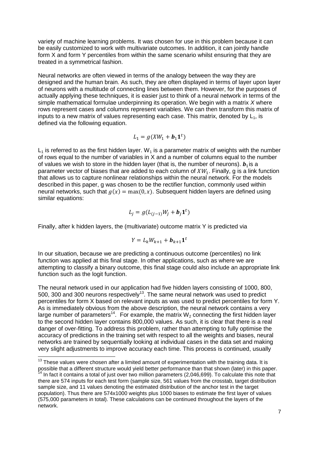variety of machine learning problems. It was chosen for use in this problem because it can be easily customized to work with multivariate outcomes. In addition, it can jointly handle form X and form Y percentiles from within the same scenario whilst ensuring that they are treated in a symmetrical fashion.

Neural networks are often viewed in terms of the analogy between the way they are designed and the human brain. As such, they are often displayed in terms of layer upon layer of neurons with a multitude of connecting lines between them. However, for the purposes of actually applying these techniques, it is easier just to think of a neural network in terms of the simple mathematical formulae underpinning its operation. We begin with a matrix *X* where rows represent cases and columns represent variables. We can then transform this matrix of inputs to a new matrix of values representing each case. This matrix, denoted by  $L_1$ , is defined via the following equation.

$$
L_1 = g(XW_1 + \mathbf{b}_1 \mathbf{1}^t)
$$

 $L_1$  is referred to as the first hidden layer. W<sub>1</sub> is a parameter matrix of weights with the number of rows equal to the number of variables in X and a number of columns equal to the number of values we wish to store in the hidden layer (that is, the number of neurons).  $\mathbf{b}_1$  is a parameter vector of biases that are added to each column of  $XW_1$ . Finally, q is a link function that allows us to capture nonlinear relationships within the neural network. For the models described in this paper, g was chosen to be the rectifier function, commonly used within neural networks, such that  $g(x) = \max(0, x)$ . Subsequent hidden layers are defined using similar equations:

$$
L_j = g(L_{(j-1)}W_j + b_j \mathbf{1}^t)
$$

Finally, after k hidden layers, the (multivariate) outcome matrix Y is predicted via

$$
Y = L_k W_{k+1} + \boldsymbol{b}_{k+1} \mathbf{1}^t
$$

In our situation, because we are predicting a continuous outcome (percentiles) no link function was applied at this final stage. In other applications, such as where we are attempting to classify a binary outcome, this final stage could also include an appropriate link function such as the logit function.

The neural network used in our application had five hidden layers consisting of 1000, 800, 500, 300 and 300 neurons respectively<sup>13</sup>. The same neural network was used to predict percentiles for form X based on relevant inputs as was used to predict percentiles for form Y. As is immediately obvious from the above description, the neural network contains a very large number of parameters<sup>14</sup>. For example, the matrix W<sub>2</sub> connecting the first hidden layer to the second hidden layer contains 800,000 values. As such, it is clear that there is a real danger of over-fitting. To address this problem, rather than attempting to fully optimise the accuracy of predictions in the training set with respect to all the weights and biases, neural networks are trained by sequentially looking at individual cases in the data set and making very slight adjustments to improve accuracy each time. This process is continued, usually

j

 $13$  These values were chosen after a limited amount of experimentation with the training data. It is possible that a different structure would yield better performance than that shown (later) in this paper. In fact it contains a total of just over two million parameters (2,046,699). To calculate this note that there are 574 inputs for each test form (sample size, 561 values from the crosstab, target distribution sample size, and 11 values denoting the estimated distribution of the anchor test in the target population). Thus there are 574x1000 weights plus 1000 biases to estimate the first layer of values (575,000 parameters in total). These calculations can be continued throughout the layers of the network.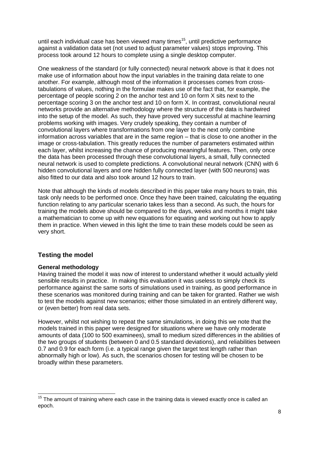until each individual case has been viewed many times<sup>15</sup>, until predictive performance against a validation data set (not used to adjust parameter values) stops improving. This process took around 12 hours to complete using a single desktop computer.

One weakness of the standard (or fully connected) neural network above is that it does not make use of information about how the input variables in the training data relate to one another. For example, although most of the information it processes comes from crosstabulations of values, nothing in the formulae makes use of the fact that, for example, the percentage of people scoring 2 on the anchor test and 10 on form X sits next to the percentage scoring 3 on the anchor test and 10 on form X. In contrast, convolutional neural networks provide an alternative methodology where the structure of the data is hardwired into the setup of the model. As such, they have proved very successful at machine learning problems working with images. Very crudely speaking, they contain a number of convolutional layers where transformations from one layer to the next only combine information across variables that are in the same region – that is close to one another in the image or cross-tabulation. This greatly reduces the number of parameters estimated within each layer, whilst increasing the chance of producing meaningful features. Then, only once the data has been processed through these convolutional layers, a small, fully connected neural network is used to complete predictions. A convolutional neural network (CNN) with 6 hidden convolutional layers and one hidden fully connected layer (with 500 neurons) was also fitted to our data and also took around 12 hours to train.

Note that although the kinds of models described in this paper take many hours to train, this task only needs to be performed once. Once they have been trained, calculating the equating function relating to any particular scenario takes less than a second. As such, the hours for training the models above should be compared to the days, weeks and months it might take a mathematician to come up with new equations for equating and working out how to apply them in practice. When viewed in this light the time to train these models could be seen as very short.

## **Testing the model**

## **General methodology**

Having trained the model it was now of interest to understand whether it would actually yield sensible results in practice. In making this evaluation it was useless to simply check its performance against the same sorts of simulations used in training, as good performance in these scenarios was monitored during training and can be taken for granted. Rather we wish to test the models against new scenarios; either those simulated in an entirely different way, or (even better) from real data sets.

However, whilst not wishing to repeat the same simulations, in doing this we note that the models trained in this paper were designed for situations where we have only moderate amounts of data (100 to 500 examinees), small to medium sized differences in the abilities of the two groups of students (between 0 and 0.5 standard deviations), and reliabilities between 0.7 and 0.9 for each form (i.e. a typical range given the target test length rather than abnormally high or low). As such, the scenarios chosen for testing will be chosen to be broadly within these parameters.

j  $15$  The amount of training where each case in the training data is viewed exactly once is called an epoch.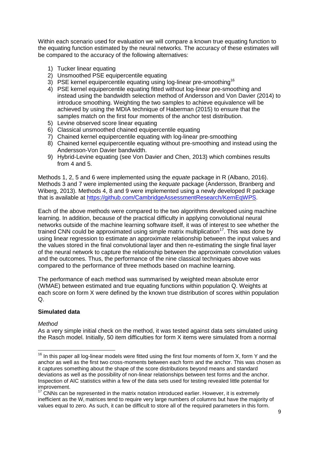Within each scenario used for evaluation we will compare a known true equating function to the equating function estimated by the neural networks. The accuracy of these estimates will be compared to the accuracy of the following alternatives:

- 1) Tucker linear equating
- 2) Unsmoothed PSE equipercentile equating
- 3) PSE kernel equipercentile equating using log-linear pre-smoothing<sup>16</sup>
- 4) PSE kernel equipercentile equating fitted without log-linear pre-smoothing and instead using the bandwidth selection method of Andersson and Von Davier (2014) to introduce smoothing. Weighting the two samples to achieve equivalence will be achieved by using the MDIA technique of Haberman (2015) to ensure that the samples match on the first four moments of the anchor test distribution.
- 5) Levine observed score linear equating
- 6) Classical unsmoothed chained equipercentile equating
- 7) Chained kernel equipercentile equating with log-linear pre-smoothing
- 8) Chained kernel equipercentile equating without pre-smoothing and instead using the Andersson-Von Davier bandwidth.
- 9) Hybrid-Levine equating (see Von Davier and Chen, 2013) which combines results from 4 and 5.

Methods 1, 2, 5 and 6 were implemented using the *equate* package in R (Albano, 2016). Methods 3 and 7 were implemented using the *kequate* package (Andersson, Branberg and Wiberg, 2013). Methods 4, 8 and 9 were implemented using a newly developed R package that is available at [https://github.com/CambridgeAssessmentResearch/KernEqWPS.](https://github.com/CambridgeAssessmentResearch/KernEqWPS)

Each of the above methods were compared to the two algorithms developed using machine learning. In addition, because of the practical difficulty in applying convolutional neural networks outside of the machine learning software itself, it was of interest to see whether the trained CNN could be approximated using simple matrix multiplication<sup>17</sup>. This was done by using linear regression to estimate an approximate relationship between the input values and the values stored in the final convolutional layer and then re-estimating the single final layer of the neural network to capture the relationship between the approximate convolution values and the outcomes. Thus, the performance of the nine classical techniques above was compared to the performance of three methods based on machine learning.

The performance of each method was summarised by weighted mean absolute error (WMAE) between estimated and true equating functions within population Q. Weights at each score on form X were defined by the known true distribution of scores within population Q.

## **Simulated data**

## *Method*

 $\overline{a}$ 

As a very simple initial check on the method, it was tested against data sets simulated using the Rasch model. Initially, 50 item difficulties for form X items were simulated from a normal

 $16$  In this paper all log-linear models were fitted using the first four moments of form X, form Y and the anchor as well as the first two cross-moments between each form and the anchor. This was chosen as it captures something about the shape of the score distributions beyond means and standard deviations as well as the possibility of non-linear relationships between test forms and the anchor. Inspection of AIC statistics within a few of the data sets used for testing revealed little potential for improvement.

 $17$  CNNs can be represented in the matrix notation introduced earlier. However, it is extremely inefficient as the W<sub>i</sub> matrices tend to require very large numbers of columns but have the majority of values equal to zero. As such, it can be difficult to store all of the required parameters in this form.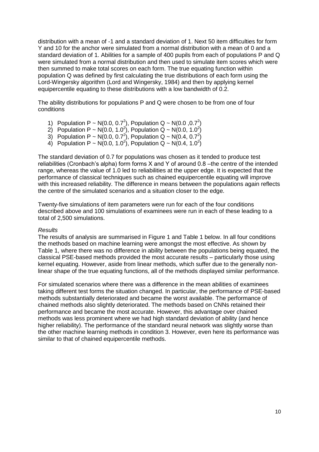distribution with a mean of -1 and a standard deviation of 1. Next 50 item difficulties for form Y and 10 for the anchor were simulated from a normal distribution with a mean of 0 and a standard deviation of 1. Abilities for a sample of 400 pupils from each of populations P and Q were simulated from a normal distribution and then used to simulate item scores which were then summed to make total scores on each form. The true equating function within population Q was defined by first calculating the true distributions of each form using the Lord-Wingersky algorithm (Lord and Wingersky, 1984) and then by applying kernel equipercentile equating to these distributions with a low bandwidth of 0.2.

The ability distributions for populations P and Q were chosen to be from one of four conditions

- 1) Population P ~ N(0.0, 0.7<sup>2</sup>), Population Q ~ N(0.0 ,0.7<sup>2</sup>)
- 2) Population P ~ N(0.0, 1.0<sup>2</sup>), Population Q ~ N(0.0, 1.0<sup>2</sup>)
- 3) Population P ~ N(0.0, 0.7<sup>2</sup>), Population Q ~ N(0.4, 0.7<sup>2</sup>)
- 4) Population P ~ N(0.0, 1.0<sup>2</sup>), Population Q ~ N(0.4, 1.0<sup>2</sup>)

The standard deviation of 0.7 for populations was chosen as it tended to produce test reliabilities (Cronbach's alpha) form forms X and Y of around 0.8 –the centre of the intended range, whereas the value of 1.0 led to reliabilities at the upper edge. It is expected that the performance of classical techniques such as chained equipercentile equating will improve with this increased reliability. The difference in means between the populations again reflects the centre of the simulated scenarios and a situation closer to the edge.

Twenty-five simulations of item parameters were run for each of the four conditions described above and 100 simulations of examinees were run in each of these leading to a total of 2,500 simulations.

#### *Results*

The results of analysis are summarised in Figure 1 and Table 1 below. In all four conditions the methods based on machine learning were amongst the most effective. As shown by Table 1, where there was no difference in ability between the populations being equated, the classical PSE-based methods provided the most accurate results – particularly those using kernel equating. However, aside from linear methods, which suffer due to the generally nonlinear shape of the true equating functions, all of the methods displayed similar performance.

For simulated scenarios where there was a difference in the mean abilities of examinees taking different test forms the situation changed. In particular, the performance of PSE-based methods substantially deteriorated and became the worst available. The performance of chained methods also slightly deteriorated. The methods based on CNNs retained their performance and became the most accurate. However, this advantage over chained methods was less prominent where we had high standard deviation of ability (and hence higher reliability). The performance of the standard neural network was slightly worse than the other machine learning methods in condition 3. However, even here its performance was similar to that of chained equipercentile methods.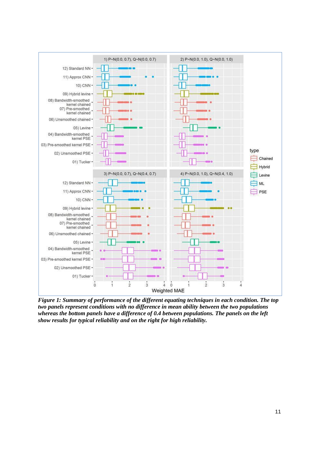

*Figure 1: Summary of performance of the different equating techniques in each condition. The top two panels represent conditions with no difference in mean ability between the two populations whereas the bottom panels have a difference of 0.4 between populations. The panels on the left show results for typical reliability and on the right for high reliability.*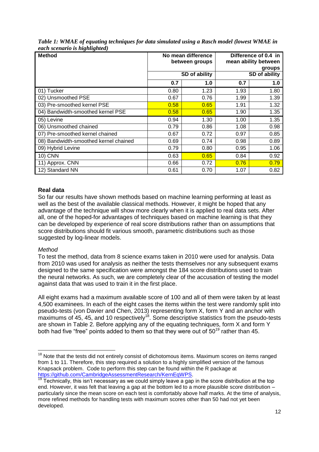| <b>Method</b>                         |      | No mean difference | Difference of 0.4 in |      |  |  |
|---------------------------------------|------|--------------------|----------------------|------|--|--|
|                                       |      | between groups     | mean ability between |      |  |  |
|                                       |      |                    | groups               |      |  |  |
|                                       |      | SD of ability      | SD of ability        |      |  |  |
|                                       | 0.7  | 1.0                | 0.7                  | 1.0  |  |  |
| 01) Tucker                            | 0.80 | 1.23               | 1.93                 | 1.80 |  |  |
| 02) Unsmoothed PSE                    | 0.67 | 0.76               | 1.99                 | 1.39 |  |  |
| 03) Pre-smoothed kernel PSE           | 0.58 | 0.65               | 1.91                 | 1.32 |  |  |
| 04) Bandwidth-smoothed kernel PSE     | 0.58 | 0.65               | 1.90                 | 1.35 |  |  |
| 05) Levine                            | 0.94 | 1.30               | 1.00                 | 1.35 |  |  |
| 06) Unsmoothed chained                | 0.79 | 0.86               | 1.08                 | 0.98 |  |  |
| 07) Pre-smoothed kernel chained       | 0.67 | 0.72               | 0.97                 | 0.85 |  |  |
| 08) Bandwidth-smoothed kernel chained | 0.69 | 0.74               | 0.98                 | 0.89 |  |  |
| 09) Hybrid Levine                     | 0.79 | 0.80               | 0.95                 | 1.06 |  |  |
| <b>10) CNN</b>                        | 0.63 | 0.65               | 0.84                 | 0.92 |  |  |
| 11) Approx. CNN                       | 0.66 | 0.72               | 0.76                 | 0.79 |  |  |
| 12) Standard NN                       | 0.61 | 0.70               | 1.07                 | 0.82 |  |  |

*Table 1: WMAE of equating techniques for data simulated using a Rasch model (lowest WMAE in each scenario is highlighted)* 

## **Real data**

So far our results have shown methods based on machine learning performing at least as well as the best of the available classical methods. However, it might be hoped that any advantage of the technique will show more clearly when it is applied to real data sets. After all, one of the hoped-for advantages of techniques based on machine learning is that they can be developed by experience of real score distributions rather than on assumptions that score distributions should fit various smooth, parametric distributions such as those suggested by log-linear models.

## *Method*

 $\overline{a}$ 

To test the method, data from 8 science exams taken in 2010 were used for analysis. Data from 2010 was used for analysis as neither the tests themselves nor any subsequent exams designed to the same specification were amongst the 184 score distributions used to train the neural networks. As such, we are completely clear of the accusation of testing the model against data that was used to train it in the first place.

All eight exams had a maximum available score of 100 and all of them were taken by at least 4,500 examinees. In each of the eight cases the items within the test were randomly split into pseudo-tests (von Davier and Chen, 2013) representing form X, form Y and an anchor with maximums of 45, 45, and 10 respectively<sup>18</sup>. Some descriptive statistics from the pseudo-tests are shown in Table 2. Before applying any of the equating techniques, form X and form Y both had five "free" points added to them so that they were out of 50<sup>19</sup> rather than 45.

 $18$  Note that the tests did not entirely consist of dichotomous items. Maximum scores on items ranged from 1 to 11. Therefore, this step required a solution to a highly simplified version of the famous Knapsack problem. Code to perform this step can be found within the R package at [https://github.com/CambridgeAssessmentResearch/KernEqWPS.](https://github.com/CambridgeAssessmentResearch/KernEqWPS)

 $\frac{19}{19}$  Technically, this isn't necessary as we could simply leave a gap in the score distribution at the top end. However, it was felt that leaving a gap at the bottom led to a more plausible score distribution – particularly since the mean score on each test is comfortably above half marks. At the time of analysis, more refined methods for handling tests with maximum scores other than 50 had not yet been developed.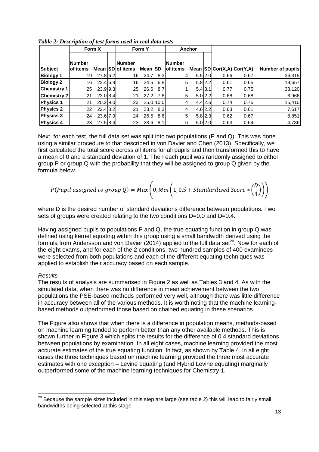|                    | Form X                     |            | Form Y |                                    |                | Anchor     |                           |  |         |                           |      |                         |
|--------------------|----------------------------|------------|--------|------------------------------------|----------------|------------|---------------------------|--|---------|---------------------------|------|-------------------------|
| <b>Subject</b>     | <b>Number</b><br>lof items |            |        | <b>INumber</b><br>Mean SD of items | Mean <b>SD</b> |            | <b>Number</b><br>of items |  |         | Mean SD Cor(X,A) Cor(Y,A) |      | <b>Number of pupils</b> |
| <b>Biology 1</b>   | 19                         | 27.8 6.2   |        | 16 <sub>l</sub>                    | 24.7           | 8.3        | 4                         |  | 5.5 2.0 | 0.66                      | 0.67 | 36,315                  |
| <b>Biology 2</b>   | 16                         | 22.4 6.9   |        | 16                                 | 24.5           | 6.8        | 5                         |  | 5.8 2.2 | 0.61                      | 0.65 | 19,657                  |
| <b>Chemistry 1</b> | 25                         | $23.9$ 9.3 |        | 25                                 | 26.6           | 8.7        |                           |  | 5.4 3.1 | 0.77                      | 0.75 | 33,120                  |
| <b>Chemistry 2</b> | 21                         | 23.0 8.4   |        | 21                                 | 27.2           | 7.8        | 5                         |  | 5.0 2.2 | 0.68                      | 0.68 | 6,966                   |
| <b>Physics 1</b>   | 21                         | $20.2$ 9.0 |        | 23                                 |                | 25.0 10.0  | 4                         |  | 4.4 2.6 | 0.74                      | 0.75 | 15,410                  |
| <b>Physics 2</b>   | 22                         | 22.4 8.2   |        | 21                                 | 23.2           | 8.3        | 4                         |  | 4.6 2.2 | 0.63                      | 0.61 | 7,617                   |
| <b>Physics 3</b>   | 24                         | 23.6 7.9   |        | 24                                 | 26.5           | 8.6        | 5                         |  | 5.8 2.3 | 0.62                      | 0.67 | 8,851                   |
| <b>Physics 4</b>   | 23                         | 27.5 8.4   |        | 23                                 |                | $23.6$ 8.1 | 6                         |  | 5.0 2.0 | 0.63                      | 0.64 | 4,786                   |

*Table 2: Description of test forms used in real data tests*

Next, for each test, the full data set was split into two populations (P and Q). This was done using a similar procedure to that described in von Davier and Chen (2013). Specifically, we first calculated the total score across all items for all pupils and then transformed this to have a mean of 0 and a standard deviation of 1. Then each pupil was randomly assigned to either group P or group Q with the probability that they will be assigned to group Q given by the formula below.

$$
P(Pupil\;assigned\; to\; group\;Q) = Max\bigg(0, Min\bigg(1, 0.5 + Standardised\; Score * \bigg(\frac{D}{4}\bigg)\bigg)\bigg)
$$

where D is the desired number of standard deviations difference between populations. Two sets of groups were created relating to the two conditions D=0.0 and D=0.4.

Having assigned pupils to populations P and Q, the true equating function in group Q was defined using kernel equating within this group using a small bandwidth derived using the formula from Andersson and von Davier (2014) applied to the full data set<sup>20</sup>. Now for each of the eight exams, and for each of the 2 conditions, two hundred samples of 400 examinees were selected from both populations and each of the different equating techniques was applied to establish their accuracy based on each sample.

#### *Results*

j

The results of analysis are summarised in Figure 2 as well as Tables 3 and 4. As with the simulated data, when there was no difference in mean achievement between the two populations the PSE-based methods performed very well, although there was little difference in accuracy between all of the various methods. It is worth noting that the machine learningbased methods outperformed those based on chained equating in these scenarios.

The Figure also shows that when there is a difference in population means, methods-based on machine learning tended to perform better than any other available methods. This is shown further in Figure 3 which splits the results for the difference of 0.4 standard deviations between populations by examination. In all eight cases, machine learning provided the most accurate estimates of the true equating function. In fact, as shown by Table 4, in all eight cases the three techniques based on machine learning provided the three most accurate estimates with one exception – Levine equating (and Hybrid Levine equating) marginally outperformed some of the machine learning techniques for Chemistry 1.

 $^{20}$  Because the sample sizes included in this step are large (see table 2) this will lead to fairly small bandwidths being selected at this stage.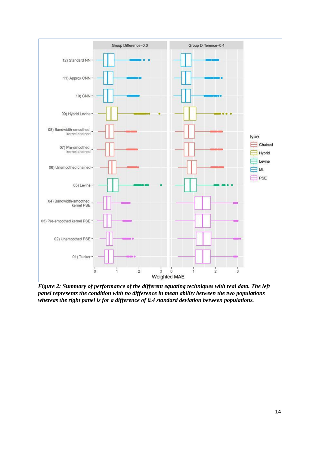

*Figure 2: Summary of performance of the different equating techniques with real data. The left panel represents the condition with no difference in mean ability between the two populations whereas the right panel is for a difference of 0.4 standard deviation between populations.*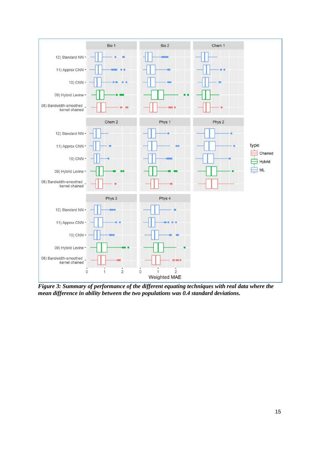

*Figure 3: Summary of performance of the different equating techniques with real data where the mean difference in ability between the two populations was 0.4 standard deviations.*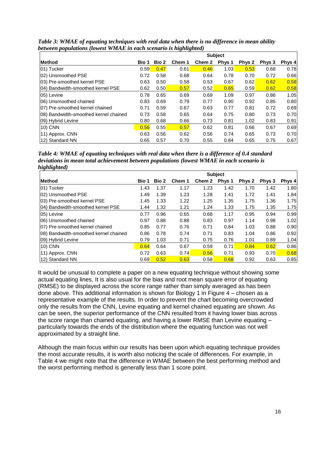|                                       | <b>Subject</b> |       |        |        |        |        |        |        |
|---------------------------------------|----------------|-------|--------|--------|--------|--------|--------|--------|
| <b>Method</b>                         | <b>Bio 1</b>   | Bio 2 | Chem 1 | Chem 2 | Phys 1 | Phys 2 | Phys 3 | Phys 4 |
| 01) Tucker                            | 0.59           | 0.47  | 0.61   | 0.46   | 1.03   | 0.53   | 0.68   | 0.78   |
| 02) Unsmoothed PSE                    | 0.72           | 0.58  | 0.68   | 0.64   | 0.78   | 0.70   | 0.72   | 0.66   |
| 03) Pre-smoothed kernel PSE           | 0.63           | 0.50  | 0.58   | 0.53   | 0.67   | 0.62   | 0.62   | 0.58   |
| 04) Bandwidth-smoothed kernel PSE     | 0.62           | 0.50  | 0.57   | 0.52   | 0.65   | 0.59   | 0.62   | 0.58   |
| 105) Levine                           | 0.78           | 0.65  | 0.69   | 0.69   | 1.09   | 0.97   | 0.86   | 1.05   |
| 106) Unsmoothed chained               | 0.83           | 0.69  | 0.79   | 0.77   | 0.90   | 0.92   | 0.85   | 0.80   |
| 07) Pre-smoothed kernel chained       | 0.71           | 0.59  | 0.67   | 0.63   | 0.77   | 0.81   | 0.72   | 0.69   |
| 08) Bandwidth-smoothed kernel chained | 0.73           | 0.58  | 0.65   | 0.64   | 0.75   | 0.80   | 0.73   | 0.70   |
| 09) Hybrid Levine                     | 0.80           | 0.68  | 0.66   | 0.73   | 0.81   | 1.02   | 0.83   | 0.91   |
| 10) CNN                               | 0.56           | 0.55  | 0.57   | 0.62   | 0.81   | 0.66   | 0.67   | 0.69   |
| 11) Approx. CNN                       | 0.63           | 0.56  | 0.62   | 0.56   | 0.74   | 0.65   | 0.73   | 0.70   |
| 12) Standard NN                       | 0.65           | 0.57  | 0.70   | 0.55   | 0.84   | 0.65   | 0.75   | 0.67   |

*Table 3: WMAE of equating techniques with real data when there is no difference in mean ability between populations (lowest WMAE in each scenario is highlighted)* 

*Table 4: WMAE of equating techniques with real data when there is a difference of 0.4 standard deviations in mean total achievement between populations (lowest WMAE in each scenario is highlighted)* 

|                                       | <b>Subject</b> |       |        |        |        |        |        |        |  |
|---------------------------------------|----------------|-------|--------|--------|--------|--------|--------|--------|--|
| <b>Method</b>                         | Bio 1          | Bio 2 | Chem 1 | Chem 2 | Phys 1 | Phys 2 | Phys 3 | Phys 4 |  |
| 01) Tucker                            | 1.43           | 1.37  | 1.17   | 1.23   | 1.42   | 1.70   | 1.42   | 1.80   |  |
| 02) Unsmoothed PSE                    | 1.49           | 1.39  | 1.23   | 1.28   | 1.41   | 1.72   | 1.41   | 1.84   |  |
| 03) Pre-smoothed kernel PSE           | 1.45           | 1.33  | 1.22   | 1.25   | 1.35   | 1.75   | 1.36   | 1.75   |  |
| 04) Bandwidth-smoothed kernel PSE     | 1.44           | 1.32  | 1.21   | 1.24   | 1.33   | 1.75   | 1.35   | 1.75   |  |
| 05) Levine                            | 0.77           | 0.96  | 0.65   | 0.68   | 1.17   | 0.95   | 0.94   | 0.99   |  |
| 06) Unsmoothed chained                | 0.97           | 0.88  | 0.88   | 0.83   | 0.97   | 1.14   | 0.98   | 1.02   |  |
| 07) Pre-smoothed kernel chained       | 0.85           | 0.77  | 0.76   | 0.71   | 0.84   | 1.03   | 0.88   | 0.90   |  |
| 08) Bandwidth-smoothed kernel chained | 0.86           | 0.78  | 0.74   | 0.71   | 0.83   | 1.04   | 0.86   | 0.92   |  |
| 09) Hybrid Levine                     | 0.79           | 1.03  | 0.71   | 0.75   | 0.76   | 1.01   | 0.89   | 1.04   |  |
| 10) CNN                               | 0.64           | 0.64  | 0.67   | 0.59   | 0.71   | 0.84   | 0.62   | 0.86   |  |
| 11) Approx. CNN                       | 0.72           | 0.63  | 0.74   | 0.56   | 0.71   | 0.93   | 0.70   | 0.68   |  |
| 12) Standard NN                       | 0.69           | 0.52  | 0.63   | 0.58   | 0.68   | 0.92   | 0.63   | 0.85   |  |

It would be unusual to complete a paper on a new equating technique without showing some actual equating lines. It is also usual for the bias and root mean square error of equating (RMSE) to be displayed across the score range rather than simply averaged as has been done above. This additional information is shown for Biology 1 in Figure  $\overline{4}$  – chosen as a representative example of the results. In order to prevent the chart becoming overcrowded only the results from the CNN, Levine equating and kernel chained equating are shown. As can be seen, the superior performance of the CNN resulted from it having lower bias across the score range than chained equating, and having a lower RMSE than Levine equating – particularly towards the ends of the distribution where the equating function was not well approximated by a straight line.

Although the main focus within our results has been upon which equating technique provides the most accurate results, it is worth also noticing the scale of differences. For example, in Table 4 we might note that the difference in WMAE between the best performing method and the worst performing method is generally less than 1 score point.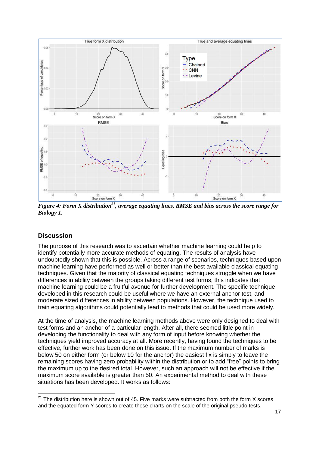

*Figure 4: Form X distribution<sup>21</sup>, average equating lines, RMSE and bias across the score range for Biology 1.* 

## **Discussion**

The purpose of this research was to ascertain whether machine learning could help to identify potentially more accurate methods of equating. The results of analysis have undoubtedly shown that this is possible. Across a range of scenarios, techniques based upon machine learning have performed as well or better than the best available classical equating techniques. Given that the majority of classical equating techniques struggle when we have differences in ability between the groups taking different test forms, this indicates that machine learning could be a fruitful avenue for further development. The specific technique developed in this research could be useful where we have an external anchor test, and moderate sized differences in ability between populations. However, the technique used to train equating algorithms could potentially lead to methods that could be used more widely.

At the time of analysis, the machine learning methods above were only designed to deal with test forms and an anchor of a particular length. After all, there seemed little point in developing the functionality to deal with any form of input before knowing whether the techniques yield improved accuracy at all. More recently, having found the techniques to be effective, further work has been done on this issue. If the maximum number of marks is below 50 on either form (or below 10 for the anchor) the easiest fix is simply to leave the remaining scores having zero probability within the distribution or to add "free" points to bring the maximum up to the desired total. However, such an approach will not be effective if the maximum score available is greater than 50. An experimental method to deal with these situations has been developed. It works as follows:

j  $^{21}$  The distribution here is shown out of 45. Five marks were subtracted from both the form X scores and the equated form Y scores to create these charts on the scale of the original pseudo tests.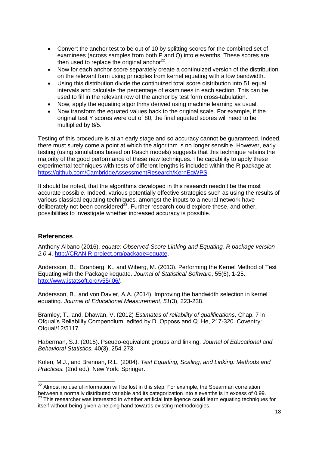- Convert the anchor test to be out of 10 by splitting scores for the combined set of examinees (across samples from both P and Q) into elevenths. These scores are then used to replace the original anchor $^{22}$ .
- Now for each anchor score separately create a continuized version of the distribution on the relevant form using principles from kernel equating with a low bandwidth.
- Using this distribution divide the continuized total score distribution into 51 equal intervals and calculate the percentage of examinees in each section. This can be used to fill in the relevant row of the anchor by test form cross-tabulation.
- Now, apply the equating algorithms derived using machine learning as usual.
- Now transform the equated values back to the original scale. For example, if the original test Y scores were out of 80, the final equated scores will need to be multiplied by 8/5.

Testing of this procedure is at an early stage and so accuracy cannot be guaranteed. Indeed, there must surely come a point at which the algorithm is no longer sensible. However, early testing (using simulations based on Rasch models) suggests that this technique retains the majority of the good performance of these new techniques. The capability to apply these experimental techniques with tests of different lengths is included within the R package at [https://github.com/CambridgeAssessmentResearch/KernEqWPS.](https://github.com/CambridgeAssessmentResearch/KernEqWPS)

It should be noted, that the algorithms developed in this research needn't be the most accurate possible. Indeed, various potentially effective strategies such as using the results of various classical equating techniques, amongst the inputs to a neural network have deliberately not been considered $^{23}$ . Further research could explore these, and other, possibilities to investigate whether increased accuracy is possible.

## **References**

Anthony Albano (2016). *equate: Observed-Score Linking and Equating. R package version 2.0-4*. [http://CRAN.R-project.org/package=equate.](http://cran.r-project.org/package=equate)

Andersson, B., Branberg, K., and Wiberg, M. (2013). Performing the Kernel Method of Test Equating with the Package kequate. *Journal of Statistical Software*, 55(6), 1-25. [http://www.jstatsoft.org/v55/i06/.](http://www.jstatsoft.org/v55/i06/)

Andersson, B., and von Davier, A.A. (2014). Improving the bandwidth selection in kernel equating. *Journal of Educational Measurement*, *51*(3), 223-238.

Bramley, T., and. Dhawan, V. (2012) *Estimates of reliability of qualifications*. Chap. 7 in Ofqual's Reliability Compendium, edited by D. Opposs and Q. He, 217-320. Coventry: Ofqual/12/5117.

Haberman, S.J. (2015). Pseudo-equivalent groups and linking. *Journal of Educational and Behavioral Statistics*, 40(3), 254-273.

Kolen, M.J., and Brennan, R.L. (2004). *Test Equating, Scaling, and Linking: Methods and Practices.* (2nd ed.). New York: Springer.

 $\overline{a}$  $22$  Almost no useful information will be lost in this step. For example, the Spearman correlation between a normally distributed variable and its categorization into elevenths is in excess of 0.99.

<sup>23</sup> This researcher was interested in whether artificial intelligence could learn equating techniques for itself without being given a helping hand towards existing methodologies.